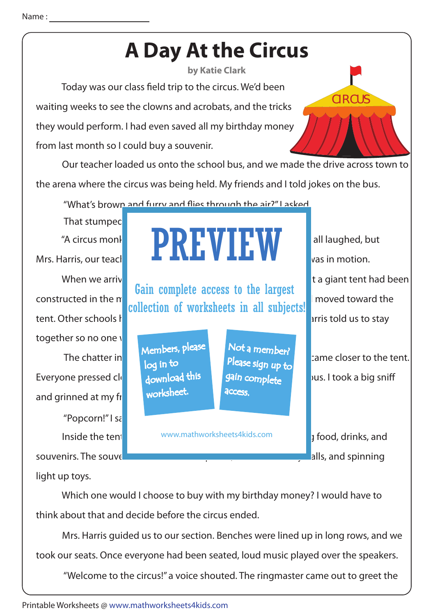## **A Day At the Circus**

**by Katie Clark**

Today was our class field trip to the circus. We'd been waiting weeks to see the clowns and acrobats, and the tricks they would perform. I had even saved all my birthday money from last month so I could buy a souvenir.

 Our teacher loaded us onto the school bus, and we made the drive across town to the arena where the circus was being held. My friends and I told jokes on the bus.

"What's brown and furry and flies through the air?" I asked

together so no one  $\sqrt{ }$ and grinned at my fr That stumped "Popcorn!" I sa

light up toys.

 Which one would I choose to buy with my birthday money? I would have to think about that and decide before the circus ended.

www.mathworksheets4kids.com

 Mrs. Harris guided us to our section. Benches were lined up in long rows, and we took our seats. Once everyone had been seated, loud music played over the speakers.

"Welcome to the circus!" a voice shouted. The ringmaster came out to greet the

CIRCUS

Inside the tent www.mathworksheets4kids.com  $\Box$  a food, drinks, and



souvenirs. The souvent that the tall top hats, coloring bounced talk to hats, and spinning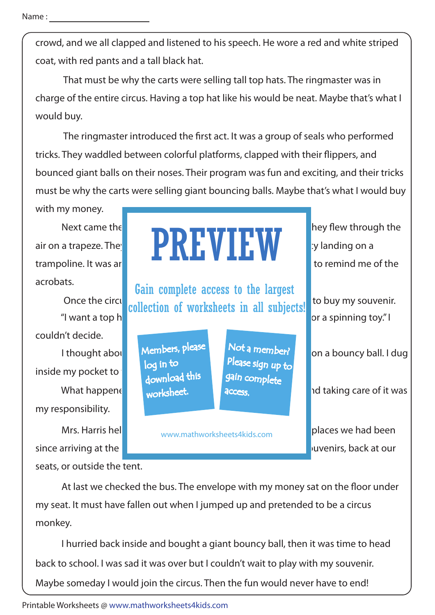crowd, and we all clapped and listened to his speech. He wore a red and white striped coat, with red pants and a tall black hat.

 That must be why the carts were selling tall top hats. The ringmaster was in charge of the entire circus. Having a top hat like his would be neat. Maybe that's what I would buy.

The ringmaster introduced the first act. It was a group of seals who performed tricks. They waddled between colorful platforms, clapped with their flippers, and bounced giant balls on their noses. Their program was fun and exciting, and their tricks must be why the carts were selling giant bouncing balls. Maybe that's what I would buy

with my money.

acrobats.

inside my pocket to couldn't decide.

my responsibility.

since arriving at the circus. The money was not the money was not the souvenirs, back at our seats, or outside the tent.

Next came the  $\blacksquare$  and  $\blacksquare$  and  $\blacksquare$  as they flew through the air on a trapeze. They **include between rounds**  $\blacksquare$  ip landing on a trampoline. It was are  $\blacksquare$ PREVIEW

Once the circus collection of worksheets in all subjects! to buy my souvenir. Gain complete access to the largest

> Members, please download this worksheet. log in to

Not a member? gain complete Please sign up to **access** 

www.mathworksheets4kids.com

"I want a top hat  $\mathbb{R}$  is a spinning toy." I

I thought about  $\blacksquare$  Members,  $P^{(2,3)}$  is formulated on a bouncy ball. I dug

What happened to more sheet. It has access in the late of it was

Mrs. Harris helped me retractive my steps. We checked all the places we had been

At last we checked the bus. The envelope with my money sat on the floor under my seat. It must have fallen out when I jumped up and pretended to be a circus monkey.

 I hurried back inside and bought a giant bouncy ball, then it was time to head back to school. I was sad it was over but I couldn't wait to play with my souvenir. Maybe someday I would join the circus. Then the fun would never have to end!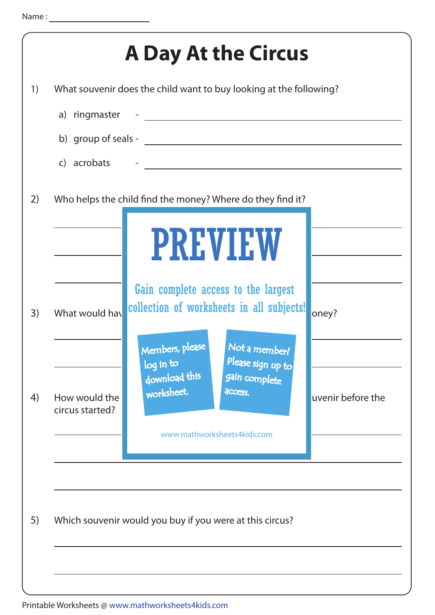| c) acrobats                      | What souvenir does the child want to buy looking at the following? | <u> 1980 - John Stein, amerikansk politiker (* 1900)</u>                                                                                                                          |                   |
|----------------------------------|--------------------------------------------------------------------|-----------------------------------------------------------------------------------------------------------------------------------------------------------------------------------|-------------------|
|                                  | Who helps the child find the money? Where do they find it?         | <b>PREVIEW</b>                                                                                                                                                                    |                   |
| What would hav                   | Members, please<br>log in to                                       | Gain complete access to the largest<br>collection of worksheets in all subjects!<br>Not a member?<br>Please sign up to<br>gain complete<br>access.<br>www.mathworksheets4kids.com | oney?             |
| How would the<br>circus started? | download this<br>worksheet.                                        |                                                                                                                                                                                   | uvenir before the |
|                                  | Which souvenir would you buy if you were at this circus?           |                                                                                                                                                                                   |                   |